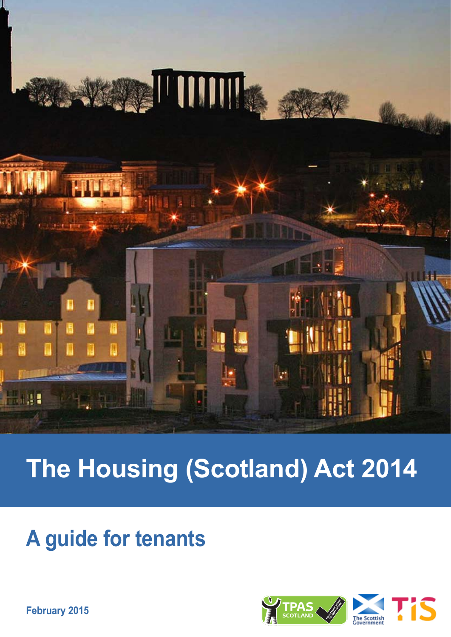

# **The Housing (Scotland) Act 2014**

## **A guide for tenants**



**February 2015**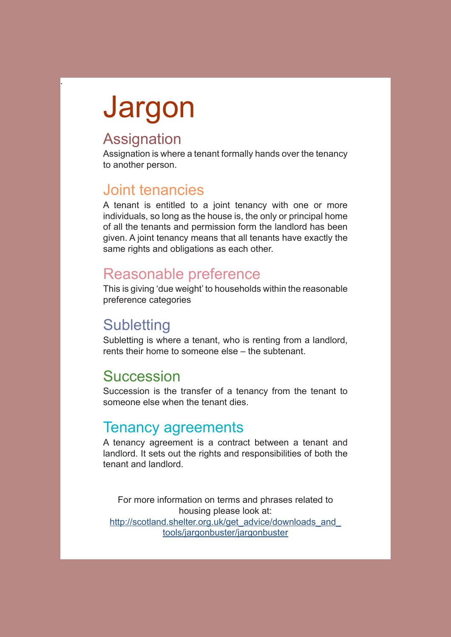# Jargon

## **Assignation**

.

Assignation is where a tenant formally hands over the tenancy to another person.

## Joint tenancies

A tenant is entitled to a joint tenancy with one or more individuals, so long as the house is, the only or principal home of all the tenants and permission form the landlord has been given. A joint tenancy means that all tenants have exactly the same rights and obligations as each other.

## Reasonable preference

This is giving 'due weight' to households within the reasonable preference categories

## **Subletting**

Subletting is where a tenant, who is renting from a landlord, rents their home to someone else – the subtenant.

## **Succession**

Succession is the transfer of a tenancy from the tenant to someone else when the tenant dies.

### Tenancy agreements

A tenancy agreement is a contract between a tenant and landlord. It sets out the rights and responsibilities of both the tenant and landlord.

For more information on terms and phrases related to housing please look at: http://scotland.shelter.org.uk/get\_advice/downloads\_and tools/jargonbuster/jargonbuster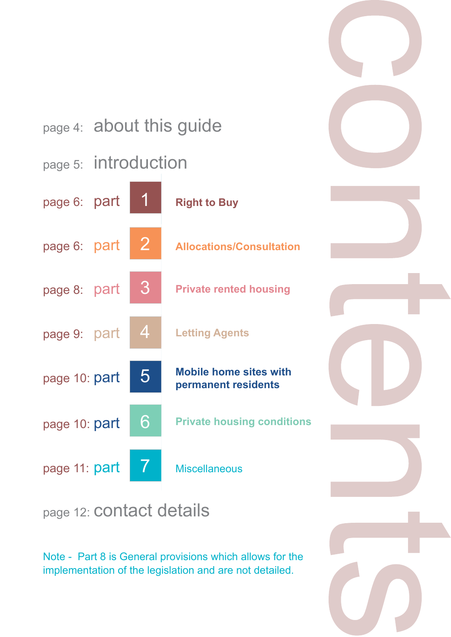

Note - Part 8 is General provisions which allows for the implementation of the legislation and are not detailed.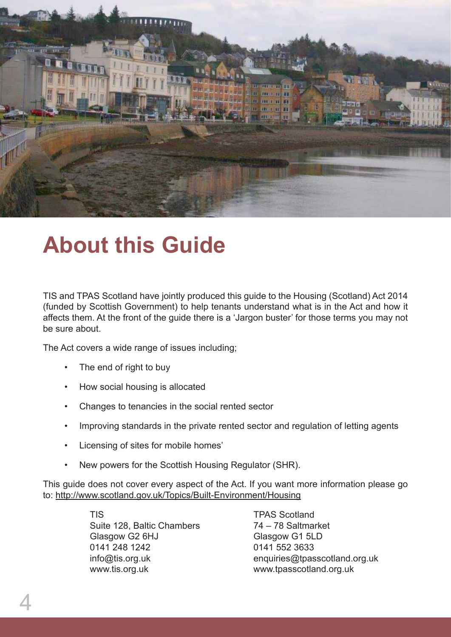![](_page_3_Picture_0.jpeg)

## **About this Guide**

TIS and TPAS Scotland have jointly produced this guide to the Housing (Scotland) Act 2014 (funded by Scottish Government) to help tenants understand what is in the Act and how it affects them. At the front of the guide there is a 'Jargon buster' for those terms you may not be sure about.

The Act covers a wide range of issues including;

- The end of right to buy
- How social housing is allocated
- Changes to tenancies in the social rented sector
- Improving standards in the private rented sector and regulation of letting agents
- • Licensing of sites for mobile homes'
- New powers for the Scottish Housing Regulator (SHR).

This guide does not cover every aspect of the Act. If you want more information please go to: http://www.scotland.gov.uk/Topics/Built-Environment/Housing

> TIS TPAS Scotland Suite 128, Baltic Chambers 74 – 78 Saltmarket Glasgow G2 6HJ Glasgow G1 5LD 0141 248 1242 0141 552 3633 www.tis.org.uk www.tpasscotland.org.uk

info@tis.org.uk enquiries@tpasscotland.org.uk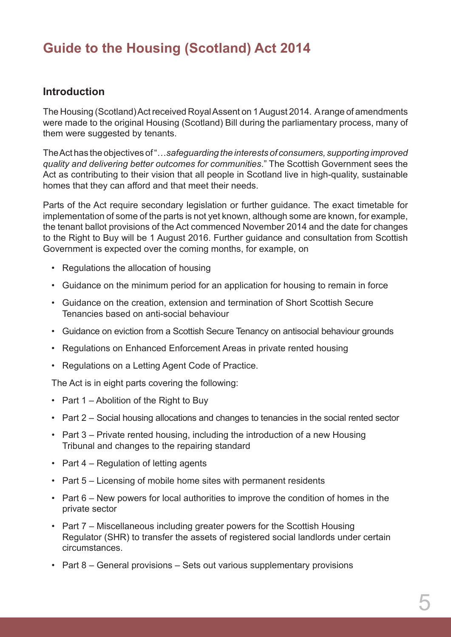## **Guide to the Housing (Scotland) Act 2014**

#### **Introduction**

The Housing (Scotland) Act received Royal Assent on 1 August 2014. A range of amendments were made to the original Housing (Scotland) Bill during the parliamentary process, many of them were suggested by tenants.

The Act has the objectives of "…*safeguarding the interests of consumers, supporting improved quality and delivering better outcomes for communities*." The Scottish Government sees the Act as contributing to their vision that all people in Scotland live in high-quality, sustainable homes that they can afford and that meet their needs.

Parts of the Act require secondary legislation or further guidance. The exact timetable for implementation of some of the parts is not yet known, although some are known, for example, the tenant ballot provisions of the Act commenced November 2014 and the date for changes to the Right to Buy will be 1 August 2016. Further guidance and consultation from Scottish Government is expected over the coming months, for example, on

- Regulations the allocation of housing
- Guidance on the minimum period for an application for housing to remain in force
- • Guidance on the creation, extension and termination of Short Scottish Secure Tenancies based on anti-social behaviour
- Guidance on eviction from a Scottish Secure Tenancy on antisocial behaviour grounds
- Regulations on Enhanced Enforcement Areas in private rented housing
- • Regulations on a Letting Agent Code of Practice.

The Act is in eight parts covering the following:

- Part  $1$  Abolition of the Right to Buy
- Part 2 Social housing allocations and changes to tenancies in the social rented sector
- Part  $3$  Private rented housing, including the introduction of a new Housing Tribunal and changes to the repairing standard
- Part 4 Regulation of letting agents
- Part 5 Licensing of mobile home sites with permanent residents
- Part 6 New powers for local authorities to improve the condition of homes in the private sector
- Part 7 Miscellaneous including greater powers for the Scottish Housing Regulator (SHR) to transfer the assets of registered social landlords under certain circumstances.
- Part 8 General provisions Sets out various supplementary provisions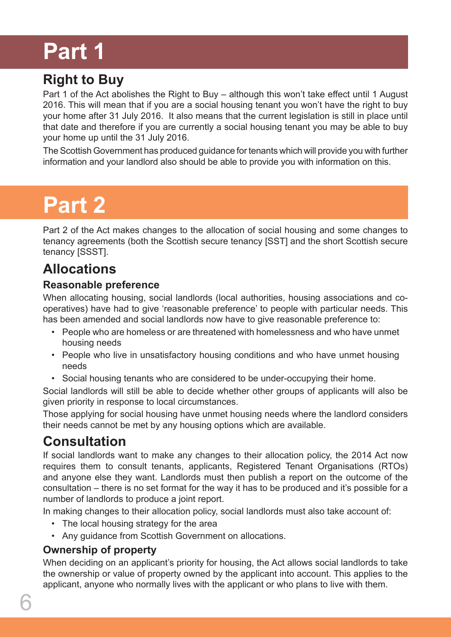## **Part 1**

## **Right to Buy**

Part 1 of the Act abolishes the Right to Buy – although this won't take effect until 1 August 2016. This will mean that if you are a social housing tenant you won't have the right to buy your home after 31 July 2016. It also means that the current legislation is still in place until that date and therefore if you are currently a social housing tenant you may be able to buy your home up until the 31 July 2016.

The Scottish Government has produced guidance for tenants which will provide you with further information and your landlord also should be able to provide you with information on this.

## **Part 2**

Part 2 of the Act makes changes to the allocation of social housing and some changes to tenancy agreements (both the Scottish secure tenancy [SST] and the short Scottish secure tenancy [SSST].

## **Allocations**

#### **Reasonable preference**

When allocating housing, social landlords (local authorities, housing associations and cooperatives) have had to give 'reasonable preference' to people with particular needs. This has been amended and social landlords now have to give reasonable preference to:

- • People who are homeless or are threatened with homelessness and who have unmet housing needs
- People who live in unsatisfactory housing conditions and who have unmet housing needs
- Social housing tenants who are considered to be under-occupying their home.

Social landlords will still be able to decide whether other groups of applicants will also be given priority in response to local circumstances.

Those applying for social housing have unmet housing needs where the landlord considers their needs cannot be met by any housing options which are available.

## **Consultation**

If social landlords want to make any changes to their allocation policy, the 2014 Act now requires them to consult tenants, applicants, Registered Tenant Organisations (RTOs) and anyone else they want. Landlords must then publish a report on the outcome of the consultation – there is no set format for the way it has to be produced and it's possible for a number of landlords to produce a joint report.

In making changes to their allocation policy, social landlords must also take account of:

- The local housing strategy for the area
- Any guidance from Scottish Government on allocations.

### **Ownership of property**

When deciding on an applicant's priority for housing, the Act allows social landlords to take the ownership or value of property owned by the applicant into account. This applies to the applicant, anyone who normally lives with the applicant or who plans to live with them.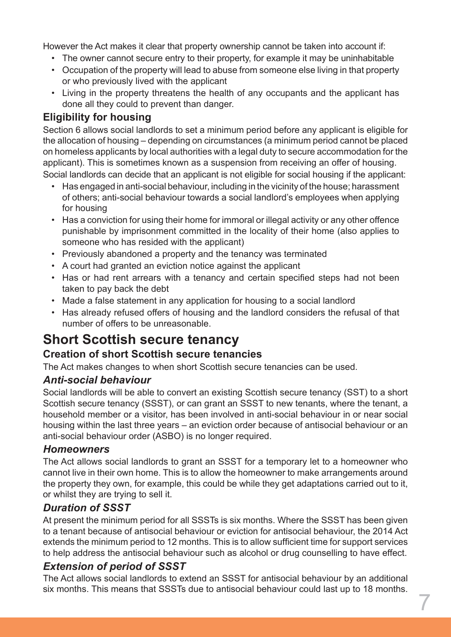However the Act makes it clear that property ownership cannot be taken into account if:

- The owner cannot secure entry to their property, for example it may be uninhabitable
- Occupation of the property will lead to abuse from someone else living in that property or who previously lived with the applicant
- Living in the property threatens the health of any occupants and the applicant has done all they could to prevent than danger.

#### **Eligibility for housing**

Section 6 allows social landlords to set a minimum period before any applicant is eligible for the allocation of housing – depending on circumstances (a minimum period cannot be placed on homeless applicants by local authorities with a legal duty to secure accommodation for the applicant). This is sometimes known as a suspension from receiving an offer of housing. Social landlords can decide that an applicant is not eligible for social housing if the applicant:

- Has engaged in anti-social behaviour, including in the vicinity of the house; harassment of others; anti-social behaviour towards a social landlord's employees when applying for housing
- Has a conviction for using their home for immoral or illegal activity or any other offence punishable by imprisonment committed in the locality of their home (also applies to someone who has resided with the applicant)
- Previously abandoned a property and the tenancy was terminated
- • A court had granted an eviction notice against the applicant
- Has or had rent arrears with a tenancy and certain specified steps had not been taken to pay back the debt
- Made a false statement in any application for housing to a social landlord
- Has already refused offers of housing and the landlord considers the refusal of that number of offers to be unreasonable.

## **Short Scottish secure tenancy**

#### **Creation of short Scottish secure tenancies**

The Act makes changes to when short Scottish secure tenancies can be used.

#### *Anti-social behaviour*

Social landlords will be able to convert an existing Scottish secure tenancy (SST) to a short Scottish secure tenancy (SSST), or can grant an SSST to new tenants, where the tenant, a household member or a visitor, has been involved in anti-social behaviour in or near social housing within the last three years – an eviction order because of antisocial behaviour or an anti-social behaviour order (ASBO) is no longer required.

#### *Homeowners*

The Act allows social landlords to grant an SSST for a temporary let to a homeowner who cannot live in their own home. This is to allow the homeowner to make arrangements around the property they own, for example, this could be while they get adaptations carried out to it, or whilst they are trying to sell it.

#### *Duration of SSST*

At present the minimum period for all SSSTs is six months. Where the SSST has been given to a tenant because of antisocial behaviour or eviction for antisocial behaviour, the 2014 Act extends the minimum period to 12 months. This is to allow sufficient time for support services to help address the antisocial behaviour such as alcohol or drug counselling to have effect.

#### *Extension of period of SSST*

The Act allows social landlords to extend an SSST for antisocial behaviour by an additional six months. This means that SSSTs due to antisocial behaviour could last up to 18 months.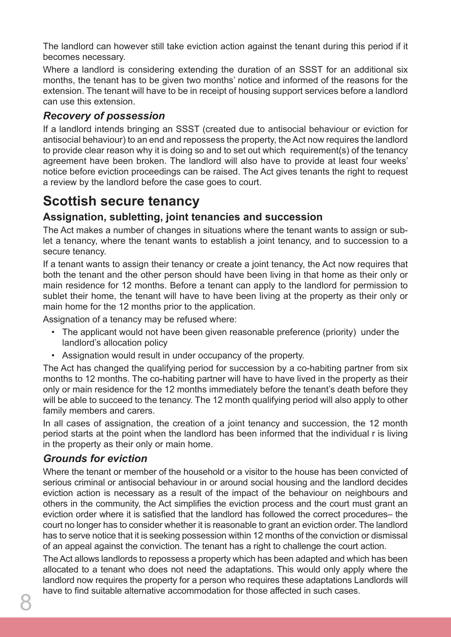The landlord can however still take eviction action against the tenant during this period if it becomes necessary.

Where a landlord is considering extending the duration of an SSST for an additional six months, the tenant has to be given two months' notice and informed of the reasons for the extension. The tenant will have to be in receipt of housing support services before a landlord can use this extension.

### *Recovery of possession*

If a landlord intends bringing an SSST (created due to antisocial behaviour or eviction for antisocial behaviour) to an end and repossess the property, the Act now requires the landlord to provide clear reason why it is doing so and to set out which requirement(s) of the tenancy agreement have been broken. The landlord will also have to provide at least four weeks' notice before eviction proceedings can be raised. The Act gives tenants the right to request a review by the landlord before the case goes to court.

## **Scottish secure tenancy**

### **Assignation, subletting, joint tenancies and succession**

The Act makes a number of changes in situations where the tenant wants to assign or sublet a tenancy, where the tenant wants to establish a joint tenancy, and to succession to a secure tenancy.

If a tenant wants to assign their tenancy or create a joint tenancy, the Act now requires that both the tenant and the other person should have been living in that home as their only or main residence for 12 months. Before a tenant can apply to the landlord for permission to sublet their home, the tenant will have to have been living at the property as their only or main home for the 12 months prior to the application.

Assignation of a tenancy may be refused where:

- The applicant would not have been given reasonable preference (priority) under the landlord's allocation policy
- Assignation would result in under occupancy of the property.

The Act has changed the qualifying period for succession by a co-habiting partner from six months to 12 months. The co-habiting partner will have to have lived in the property as their only or main residence for the 12 months immediately before the tenant's death before they will be able to succeed to the tenancy. The 12 month qualifying period will also apply to other family members and carers.

In all cases of assignation, the creation of a joint tenancy and succession, the 12 month period starts at the point when the landlord has been informed that the individual r is living in the property as their only or main home.

#### *Grounds for eviction*

Where the tenant or member of the household or a visitor to the house has been convicted of serious criminal or antisocial behaviour in or around social housing and the landlord decides eviction action is necessary as a result of the impact of the behaviour on neighbours and others in the community, the Act simplifies the eviction process and the court must grant an eviction order where it is satisfied that the landlord has followed the correct procedures– the court no longer has to consider whether it is reasonable to grant an eviction order. The landlord has to serve notice that it is seeking possession within 12 months of the conviction or dismissal of an appeal against the conviction. The tenant has a right to challenge the court action.

The Act allows landlords to repossess a property which has been adapted and which has been allocated to a tenant who does not need the adaptations. This would only apply where the landlord now requires the property for a person who requires these adaptations Landlords will have to find suitable alternative accommodation for those affected in such cases.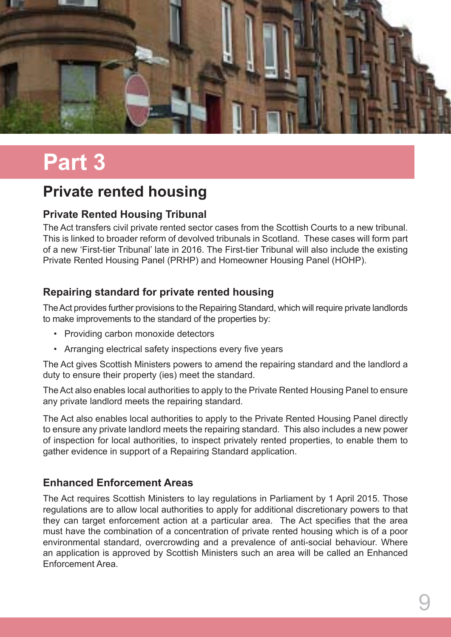![](_page_8_Picture_0.jpeg)

## **Part 3**

## **Private rented housing**

### **Private Rented Housing Tribunal**

The Act transfers civil private rented sector cases from the Scottish Courts to a new tribunal. This is linked to broader reform of devolved tribunals in Scotland. These cases will form part of a new 'First-tier Tribunal' late in 2016. The First-tier Tribunal will also include the existing Private Rented Housing Panel (PRHP) and Homeowner Housing Panel (HOHP).

### **Repairing standard for private rented housing**

The Act provides further provisions to the Repairing Standard, which will require private landlords to make improvements to the standard of the properties by:

- • Providing carbon monoxide detectors
- Arranging electrical safety inspections every five years

The Act gives Scottish Ministers powers to amend the repairing standard and the landlord a duty to ensure their property (ies) meet the standard.

The Act also enables local authorities to apply to the Private Rented Housing Panel to ensure any private landlord meets the repairing standard.

The Act also enables local authorities to apply to the Private Rented Housing Panel directly to ensure any private landlord meets the repairing standard. This also includes a new power of inspection for local authorities, to inspect privately rented properties, to enable them to gather evidence in support of a Repairing Standard application.

#### **Enhanced Enforcement Areas**

The Act requires Scottish Ministers to lay regulations in Parliament by 1 April 2015. Those regulations are to allow local authorities to apply for additional discretionary powers to that they can target enforcement action at a particular area. The Act specifies that the area must have the combination of a concentration of private rented housing which is of a poor environmental standard, overcrowding and a prevalence of anti-social behaviour. Where an application is approved by Scottish Ministers such an area will be called an Enhanced Enforcement Area.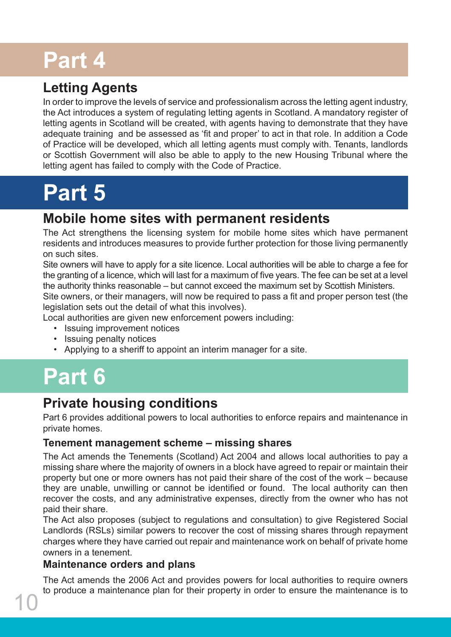## **Part 4**

## **Letting Agents**

In order to improve the levels of service and professionalism across the letting agent industry, the Act introduces a system of regulating letting agents in Scotland. A mandatory register of letting agents in Scotland will be created, with agents having to demonstrate that they have adequate training and be assessed as 'fit and proper' to act in that role. In addition a Code of Practice will be developed, which all letting agents must comply with. Tenants, landlords or Scottish Government will also be able to apply to the new Housing Tribunal where the letting agent has failed to comply with the Code of Practice.

## **Part 5**

### **Mobile home sites with permanent residents**

The Act strengthens the licensing system for mobile home sites which have permanent residents and introduces measures to provide further protection for those living permanently on such sites.

Site owners will have to apply for a site licence. Local authorities will be able to charge a fee for the granting of a licence, which will last for a maximum of five years. The fee can be set at a level the authority thinks reasonable – but cannot exceed the maximum set by Scottish Ministers.

Site owners, or their managers, will now be required to pass a fit and proper person test (the legislation sets out the detail of what this involves).

Local authorities are given new enforcement powers including:

- Issuing improvement notices
- • Issuing penalty notices
- • Applying to a sheriff to appoint an interim manager for a site.

## **Part 6**

## **Private housing conditions**

Part 6 provides additional powers to local authorities to enforce repairs and maintenance in private homes.

#### **Tenement management scheme – missing shares**

The Act amends the Tenements (Scotland) Act 2004 and allows local authorities to pay a missing share where the majority of owners in a block have agreed to repair or maintain their property but one or more owners has not paid their share of the cost of the work – because they are unable, unwilling or cannot be identified or found. The local authority can then recover the costs, and any administrative expenses, directly from the owner who has not paid their share.

The Act also proposes (subject to regulations and consultation) to give Registered Social Landlords (RSLs) similar powers to recover the cost of missing shares through repayment charges where they have carried out repair and maintenance work on behalf of private home owners in a tenement.

#### **Maintenance orders and plans**

The Act amends the 2006 Act and provides powers for local authorities to require owners to produce a maintenance plan for their property in order to ensure the maintenance is to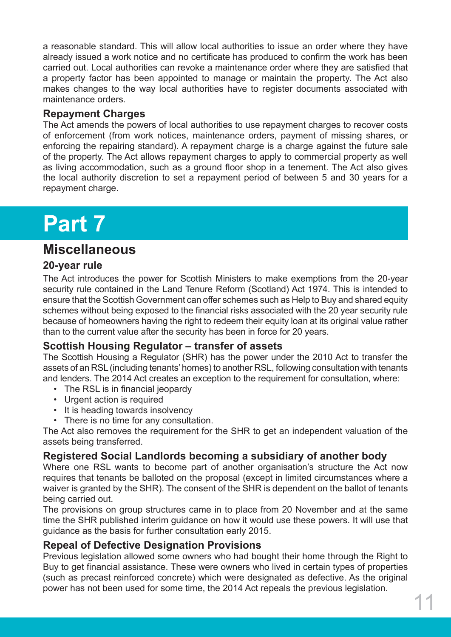a reasonable standard. This will allow local authorities to issue an order where they have already issued a work notice and no certificate has produced to confirm the work has been carried out. Local authorities can revoke a maintenance order where they are satisfied that a property factor has been appointed to manage or maintain the property. The Act also makes changes to the way local authorities have to register documents associated with maintenance orders.

#### **Repayment Charges**

The Act amends the powers of local authorities to use repayment charges to recover costs of enforcement (from work notices, maintenance orders, payment of missing shares, or enforcing the repairing standard). A repayment charge is a charge against the future sale of the property. The Act allows repayment charges to apply to commercial property as well as living accommodation, such as a ground floor shop in a tenement. The Act also gives the local authority discretion to set a repayment period of between 5 and 30 years for a repayment charge.

## **Part 7**

### **Miscellaneous**

#### **20-year rule**

The Act introduces the power for Scottish Ministers to make exemptions from the 20-year security rule contained in the Land Tenure Reform (Scotland) Act 1974. This is intended to ensure that the Scottish Government can offer schemes such as Help to Buy and shared equity schemes without being exposed to the financial risks associated with the 20 year security rule because of homeowners having the right to redeem their equity loan at its original value rather than to the current value after the security has been in force for 20 years.

#### **Scottish Housing Regulator – transfer of assets**

The Scottish Housing a Regulator (SHR) has the power under the 2010 Act to transfer the assets of an RSL (including tenants' homes) to another RSL, following consultation with tenants and lenders. The 2014 Act creates an exception to the requirement for consultation, where:

- The RSL is in financial jeopardy
- • Urgent action is required
- It is heading towards insolvency
- There is no time for any consultation.

The Act also removes the requirement for the SHR to get an independent valuation of the assets being transferred.

#### **Registered Social Landlords becoming a subsidiary of another body**

Where one RSL wants to become part of another organisation's structure the Act now requires that tenants be balloted on the proposal (except in limited circumstances where a waiver is granted by the SHR). The consent of the SHR is dependent on the ballot of tenants being carried out.

The provisions on group structures came in to place from 20 November and at the same time the SHR published interim guidance on how it would use these powers. It will use that guidance as the basis for further consultation early 2015.

#### **Repeal of Defective Designation Provisions**

Previous legislation allowed some owners who had bought their home through the Right to Buy to get financial assistance. These were owners who lived in certain types of properties (such as precast reinforced concrete) which were designated as defective. As the original power has not been used for some time, the 2014 Act repeals the previous legislation.